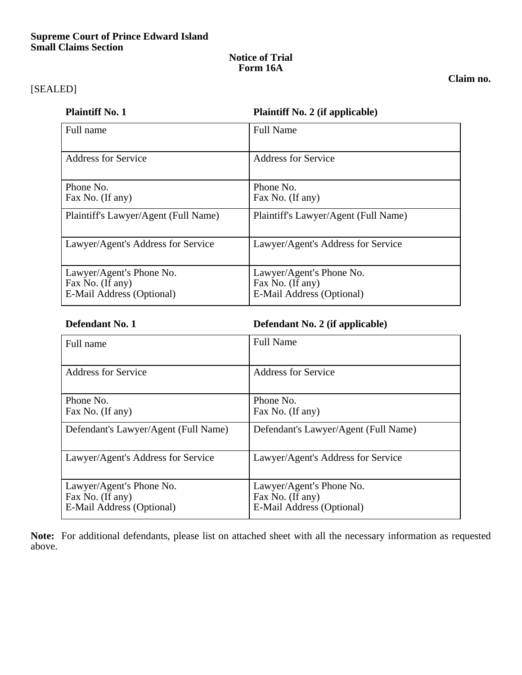### **Supreme Court of Prince Edward Island Small Claims Section**

### **Notice of Trial Form 16A**

## [SEALED]

### **Claim no.**

| <b>Plaintiff No. 1</b> | <b>Plaintiff No. 2 (if applicable)</b> |
|------------------------|----------------------------------------|
|------------------------|----------------------------------------|

| Full name                                                                 | <b>Full Name</b>                                                          |
|---------------------------------------------------------------------------|---------------------------------------------------------------------------|
| <b>Address for Service</b>                                                | <b>Address for Service</b>                                                |
| Phone No.<br>Fax No. (If any)                                             | Phone No.<br>Fax No. (If any)                                             |
| Plaintiff's Lawyer/Agent (Full Name)                                      | Plaintiff's Lawyer/Agent (Full Name)                                      |
| Lawyer/Agent's Address for Service                                        | Lawyer/Agent's Address for Service                                        |
| Lawyer/Agent's Phone No.<br>Fax No. (If any)<br>E-Mail Address (Optional) | Lawyer/Agent's Phone No.<br>Fax No. (If any)<br>E-Mail Address (Optional) |

**Defendant No. 1 Defendant No. 2 (if applicable)**

| Full name                                                                 | <b>Full Name</b>                                                          |
|---------------------------------------------------------------------------|---------------------------------------------------------------------------|
| Address for Service                                                       | Address for Service                                                       |
| Phone No.<br>Fax No. (If any)                                             | Phone No.<br>Fax No. (If any)                                             |
| Defendant's Lawyer/Agent (Full Name)                                      | Defendant's Lawyer/Agent (Full Name)                                      |
| Lawyer/Agent's Address for Service                                        | Lawyer/Agent's Address for Service                                        |
| Lawyer/Agent's Phone No.<br>Fax No. (If any)<br>E-Mail Address (Optional) | Lawyer/Agent's Phone No.<br>Fax No. (If any)<br>E-Mail Address (Optional) |

**Note:** For additional defendants, please list on attached sheet with all the necessary information as requested above.